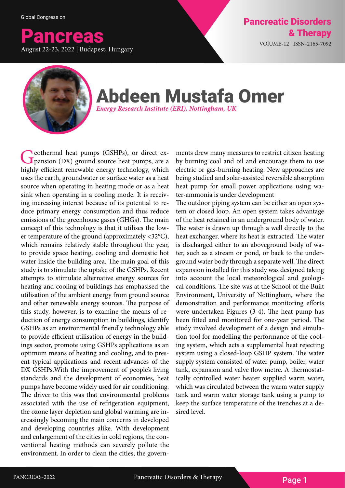

## Abdeen Mustafa Omer *Energy Research Institute (ERI), Nottingham, UK*

Ceothermal heat pumps (GSHPs), or direct expansion (DX) ground source heat pumps, are a highly efficient renewable energy technology, which uses the earth, groundwater or surface water as a heat source when operating in heating mode or as a heat sink when operating in a cooling mode. It is receiving increasing interest because of its potential to reduce primary energy consumption and thus reduce emissions of the greenhouse gases (GHGs). The main concept of this technology is that it utilises the lower temperature of the ground (approximately <32°C), which remains relatively stable throughout the year, to provide space heating, cooling and domestic hot water inside the building area. The main goal of this study is to stimulate the uptake of the GSHPs. Recent attempts to stimulate alternative energy sources for heating and cooling of buildings has emphasised the utilisation of the ambient energy from ground source and other renewable energy sources. The purpose of this study, however, is to examine the means of reduction of energy consumption in buildings, identify GSHPs as an environmental friendly technology able to provide efficient utilisation of energy in the buildings sector, promote using GSHPs applications as an optimum means of heating and cooling, and to present typical applications and recent advances of the DX GSHPs.With the improvement of people's living standards and the development of economies, heat pumps have become widely used for air conditioning. The driver to this was that environmental problems associated with the use of refrigeration equipment, the ozone layer depletion and global warming are increasingly becoming the main concerns in developed and developing countries alike. With development and enlargement of the cities in cold regions, the conventional heating methods can severely pollute the environment. In order to clean the cities, the govern-

ments drew many measures to restrict citizen heating by burning coal and oil and encourage them to use electric or gas-burning heating. New approaches are being studied and solar-assisted reversible absorption heat pump for small power applications using water-ammonia is under development

The outdoor piping system can be either an open system or closed loop. An open system takes advantage of the heat retained in an underground body of water. The water is drawn up through a well directly to the heat exchanger, where its heat is extracted. The water is discharged either to an aboveground body of water, such as a stream or pond, or back to the underground water body through a separate well. The direct expansion installed for this study was designed taking into account the local meteorological and geological conditions. The site was at the School of the Built Environment, University of Nottingham, where the demonstration and performance monitoring efforts were undertaken Figures (3-4). The heat pump has been fitted and monitored for one-year period. The study involved development of a design and simulation tool for modelling the performance of the cooling system, which acts a supplemental heat rejecting system using a closed-loop GSHP system. The water supply system consisted of water pump, boiler, water tank, expansion and valve flow metre. A thermostatically controlled water heater supplied warm water, which was circulated between the warm water supply tank and warm water storage tank using a pump to keep the surface temperature of the trenches at a desired level.